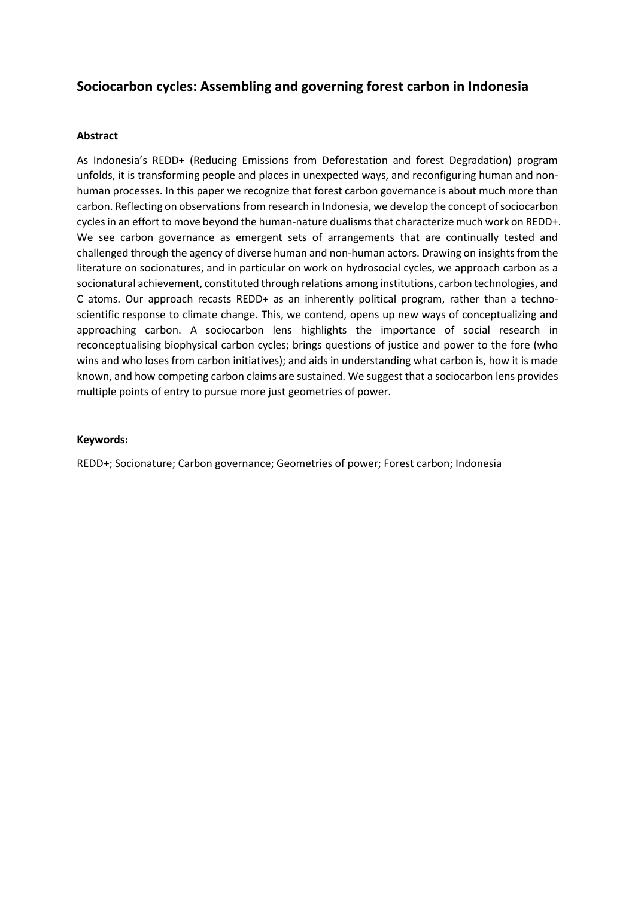## **Sociocarbon cycles: Assembling and governing forest carbon in Indonesia**

## **Abstract**

As Indonesia's REDD+ (Reducing Emissions from Deforestation and forest Degradation) program unfolds, it is transforming people and places in unexpected ways, and reconfiguring human and nonhuman processes. In this paper we recognize that forest carbon governance is about much more than carbon. Reflecting on observations from research in Indonesia, we develop the concept of sociocarbon cycles in an effort to move beyond the human-nature dualisms that characterize much work on REDD+. We see carbon governance as emergent sets of arrangements that are continually tested and challenged through the agency of diverse human and non-human actors. Drawing on insights from the literature on socionatures, and in particular on work on hydrosocial cycles, we approach carbon as a socionatural achievement, constituted through relations among institutions, carbon technologies, and C atoms. Our approach recasts REDD+ as an inherently political program, rather than a technoscientific response to climate change. This, we contend, opens up new ways of conceptualizing and approaching carbon. A sociocarbon lens highlights the importance of social research in reconceptualising biophysical carbon cycles; brings questions of justice and power to the fore (who wins and who loses from carbon initiatives); and aids in understanding what carbon is, how it is made known, and how competing carbon claims are sustained. We suggest that a sociocarbon lens provides multiple points of entry to pursue more just geometries of power.

## **Keywords:**

REDD+; Socionature; Carbon governance; Geometries of power; Forest carbon; Indonesia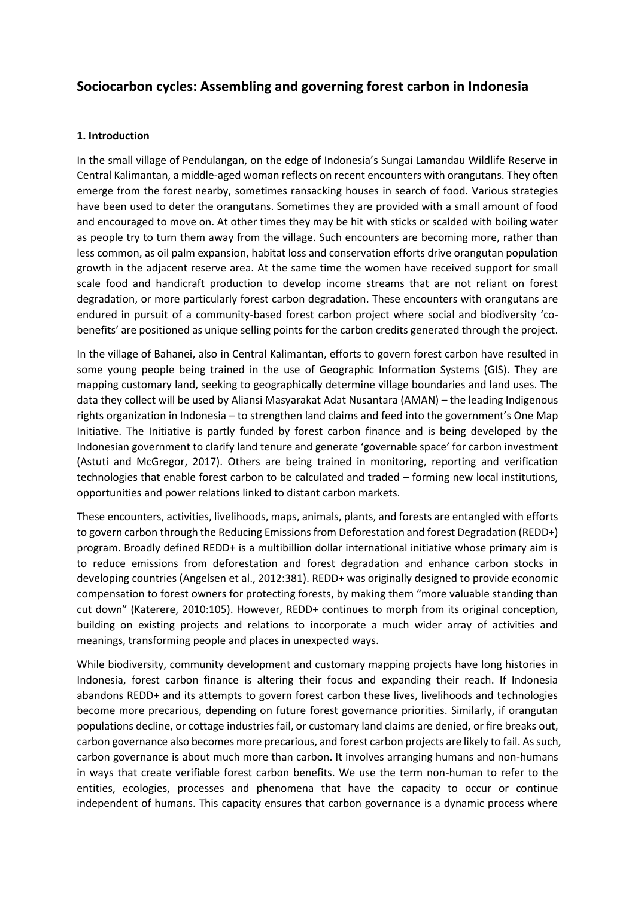# **Sociocarbon cycles: Assembling and governing forest carbon in Indonesia**

## **1. Introduction**

In the small village of Pendulangan, on the edge of Indonesia's Sungai Lamandau Wildlife Reserve in Central Kalimantan, a middle-aged woman reflects on recent encounters with orangutans. They often emerge from the forest nearby, sometimes ransacking houses in search of food. Various strategies have been used to deter the orangutans. Sometimes they are provided with a small amount of food and encouraged to move on. At other times they may be hit with sticks or scalded with boiling water as people try to turn them away from the village. Such encounters are becoming more, rather than less common, as oil palm expansion, habitat loss and conservation efforts drive orangutan population growth in the adjacent reserve area. At the same time the women have received support for small scale food and handicraft production to develop income streams that are not reliant on forest degradation, or more particularly forest carbon degradation. These encounters with orangutans are endured in pursuit of a community-based forest carbon project where social and biodiversity 'cobenefits' are positioned as unique selling points for the carbon credits generated through the project.

In the village of Bahanei, also in Central Kalimantan, efforts to govern forest carbon have resulted in some young people being trained in the use of Geographic Information Systems (GIS). They are mapping customary land, seeking to geographically determine village boundaries and land uses. The data they collect will be used by Aliansi Masyarakat Adat Nusantara (AMAN) – the leading Indigenous rights organization in Indonesia – to strengthen land claims and feed into the government's One Map Initiative. The Initiative is partly funded by forest carbon finance and is being developed by the Indonesian government to clarify land tenure and generate 'governable space' for carbon investment (Astuti and McGregor, 2017). Others are being trained in monitoring, reporting and verification technologies that enable forest carbon to be calculated and traded – forming new local institutions, opportunities and power relations linked to distant carbon markets.

These encounters, activities, livelihoods, maps, animals, plants, and forests are entangled with efforts to govern carbon through the Reducing Emissions from Deforestation and forest Degradation (REDD+) program. Broadly defined REDD+ is a multibillion dollar international initiative whose primary aim is to reduce emissions from deforestation and forest degradation and enhance carbon stocks in developing countries (Angelsen et al., 2012:381). REDD+ was originally designed to provide economic compensation to forest owners for protecting forests, by making them "more valuable standing than cut down" (Katerere, 2010:105). However, REDD+ continues to morph from its original conception, building on existing projects and relations to incorporate a much wider array of activities and meanings, transforming people and places in unexpected ways.

While biodiversity, community development and customary mapping projects have long histories in Indonesia, forest carbon finance is altering their focus and expanding their reach. If Indonesia abandons REDD+ and its attempts to govern forest carbon these lives, livelihoods and technologies become more precarious, depending on future forest governance priorities. Similarly, if orangutan populations decline, or cottage industries fail, or customary land claims are denied, or fire breaks out, carbon governance also becomes more precarious, and forest carbon projects are likely to fail. As such, carbon governance is about much more than carbon. It involves arranging humans and non-humans in ways that create verifiable forest carbon benefits. We use the term non-human to refer to the entities, ecologies, processes and phenomena that have the capacity to occur or continue independent of humans. This capacity ensures that carbon governance is a dynamic process where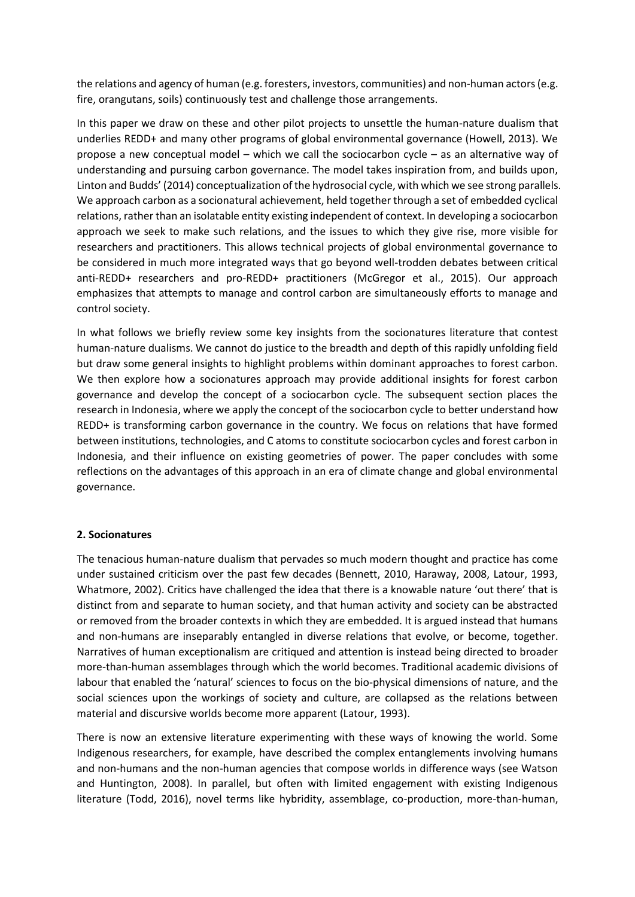the relations and agency of human (e.g. foresters, investors, communities) and non-human actors (e.g. fire, orangutans, soils) continuously test and challenge those arrangements.

In this paper we draw on these and other pilot projects to unsettle the human-nature dualism that underlies REDD+ and many other programs of global environmental governance (Howell, 2013). We propose a new conceptual model – which we call the sociocarbon cycle – as an alternative way of understanding and pursuing carbon governance. The model takes inspiration from, and builds upon, Linton and Budds' (2014) conceptualization of the hydrosocial cycle, with which we see strong parallels. We approach carbon as a socionatural achievement, held together through a set of embedded cyclical relations, rather than an isolatable entity existing independent of context. In developing a sociocarbon approach we seek to make such relations, and the issues to which they give rise, more visible for researchers and practitioners. This allows technical projects of global environmental governance to be considered in much more integrated ways that go beyond well-trodden debates between critical anti-REDD+ researchers and pro-REDD+ practitioners (McGregor et al., 2015). Our approach emphasizes that attempts to manage and control carbon are simultaneously efforts to manage and control society.

In what follows we briefly review some key insights from the socionatures literature that contest human-nature dualisms. We cannot do justice to the breadth and depth of this rapidly unfolding field but draw some general insights to highlight problems within dominant approaches to forest carbon. We then explore how a socionatures approach may provide additional insights for forest carbon governance and develop the concept of a sociocarbon cycle. The subsequent section places the research in Indonesia, where we apply the concept of the sociocarbon cycle to better understand how REDD+ is transforming carbon governance in the country. We focus on relations that have formed between institutions, technologies, and C atoms to constitute sociocarbon cycles and forest carbon in Indonesia, and their influence on existing geometries of power. The paper concludes with some reflections on the advantages of this approach in an era of climate change and global environmental governance.

## **2. Socionatures**

The tenacious human-nature dualism that pervades so much modern thought and practice has come under sustained criticism over the past few decades (Bennett, 2010, Haraway, 2008, Latour, 1993, Whatmore, 2002). Critics have challenged the idea that there is a knowable nature 'out there' that is distinct from and separate to human society, and that human activity and society can be abstracted or removed from the broader contexts in which they are embedded. It is argued instead that humans and non-humans are inseparably entangled in diverse relations that evolve, or become, together. Narratives of human exceptionalism are critiqued and attention is instead being directed to broader more-than-human assemblages through which the world becomes. Traditional academic divisions of labour that enabled the 'natural' sciences to focus on the bio-physical dimensions of nature, and the social sciences upon the workings of society and culture, are collapsed as the relations between material and discursive worlds become more apparent (Latour, 1993).

There is now an extensive literature experimenting with these ways of knowing the world. Some Indigenous researchers, for example, have described the complex entanglements involving humans and non-humans and the non-human agencies that compose worlds in difference ways (see Watson and Huntington, 2008). In parallel, but often with limited engagement with existing Indigenous literature (Todd, 2016), novel terms like hybridity, assemblage, co-production, more-than-human,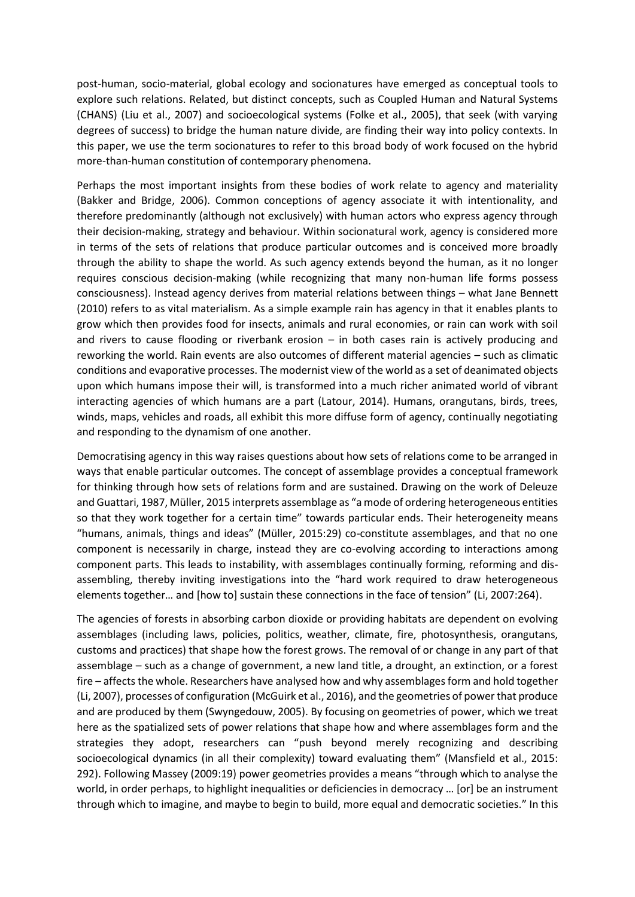post-human, socio-material, global ecology and socionatures have emerged as conceptual tools to explore such relations. Related, but distinct concepts, such as Coupled Human and Natural Systems (CHANS) (Liu et al., 2007) and socioecological systems (Folke et al., 2005), that seek (with varying degrees of success) to bridge the human nature divide, are finding their way into policy contexts. In this paper, we use the term socionatures to refer to this broad body of work focused on the hybrid more-than-human constitution of contemporary phenomena.

Perhaps the most important insights from these bodies of work relate to agency and materiality (Bakker and Bridge, 2006). Common conceptions of agency associate it with intentionality, and therefore predominantly (although not exclusively) with human actors who express agency through their decision-making, strategy and behaviour. Within socionatural work, agency is considered more in terms of the sets of relations that produce particular outcomes and is conceived more broadly through the ability to shape the world. As such agency extends beyond the human, as it no longer requires conscious decision-making (while recognizing that many non-human life forms possess consciousness). Instead agency derives from material relations between things – what Jane Bennett (2010) refers to as vital materialism. As a simple example rain has agency in that it enables plants to grow which then provides food for insects, animals and rural economies, or rain can work with soil and rivers to cause flooding or riverbank erosion  $-$  in both cases rain is actively producing and reworking the world. Rain events are also outcomes of different material agencies – such as climatic conditions and evaporative processes. The modernist view of the world as a set of deanimated objects upon which humans impose their will, is transformed into a much richer animated world of vibrant interacting agencies of which humans are a part (Latour, 2014). Humans, orangutans, birds, trees, winds, maps, vehicles and roads, all exhibit this more diffuse form of agency, continually negotiating and responding to the dynamism of one another.

Democratising agency in this way raises questions about how sets of relations come to be arranged in ways that enable particular outcomes. The concept of assemblage provides a conceptual framework for thinking through how sets of relations form and are sustained. Drawing on the work of Deleuze and Guattari, 1987, Müller, 2015 interprets assemblage as "a mode of ordering heterogeneous entities so that they work together for a certain time" towards particular ends. Their heterogeneity means "humans, animals, things and ideas" (Müller, 2015:29) co-constitute assemblages, and that no one component is necessarily in charge, instead they are co-evolving according to interactions among component parts. This leads to instability, with assemblages continually forming, reforming and disassembling, thereby inviting investigations into the "hard work required to draw heterogeneous elements together… and [how to] sustain these connections in the face of tension" (Li, 2007:264).

The agencies of forests in absorbing carbon dioxide or providing habitats are dependent on evolving assemblages (including laws, policies, politics, weather, climate, fire, photosynthesis, orangutans, customs and practices) that shape how the forest grows. The removal of or change in any part of that assemblage – such as a change of government, a new land title, a drought, an extinction, or a forest fire – affects the whole. Researchers have analysed how and why assemblages form and hold together (Li, 2007), processes of configuration (McGuirk et al., 2016), and the geometries of power that produce and are produced by them (Swyngedouw, 2005). By focusing on geometries of power, which we treat here as the spatialized sets of power relations that shape how and where assemblages form and the strategies they adopt, researchers can "push beyond merely recognizing and describing socioecological dynamics (in all their complexity) toward evaluating them" (Mansfield et al., 2015: 292). Following Massey (2009:19) power geometries provides a means "through which to analyse the world, in order perhaps, to highlight inequalities or deficiencies in democracy … [or] be an instrument through which to imagine, and maybe to begin to build, more equal and democratic societies." In this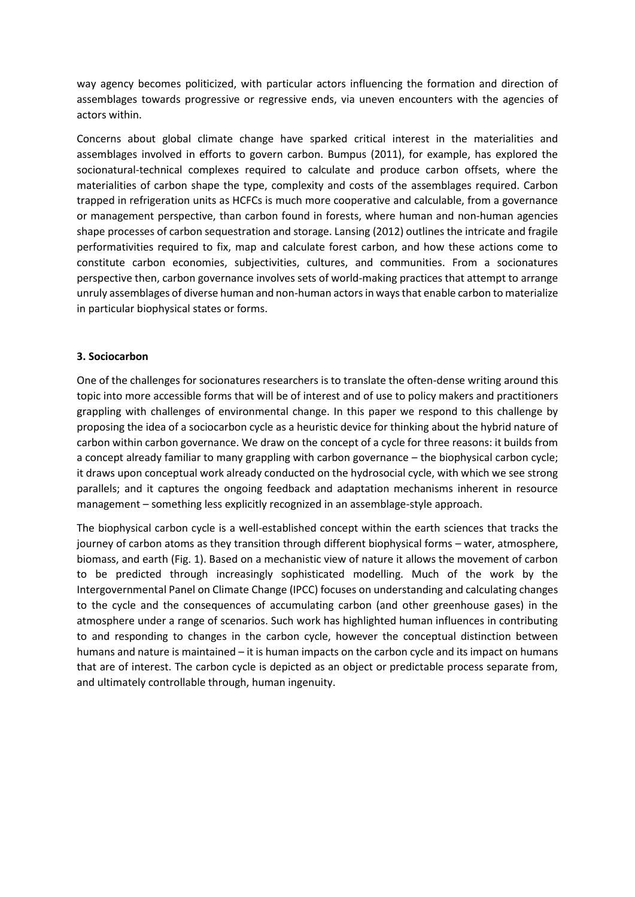way agency becomes politicized, with particular actors influencing the formation and direction of assemblages towards progressive or regressive ends, via uneven encounters with the agencies of actors within.

Concerns about global climate change have sparked critical interest in the materialities and assemblages involved in efforts to govern carbon. Bumpus (2011), for example, has explored the socionatural-technical complexes required to calculate and produce carbon offsets, where the materialities of carbon shape the type, complexity and costs of the assemblages required. Carbon trapped in refrigeration units as HCFCs is much more cooperative and calculable, from a governance or management perspective, than carbon found in forests, where human and non-human agencies shape processes of carbon sequestration and storage. Lansing (2012) outlines the intricate and fragile performativities required to fix, map and calculate forest carbon, and how these actions come to constitute carbon economies, subjectivities, cultures, and communities. From a socionatures perspective then, carbon governance involves sets of world-making practices that attempt to arrange unruly assemblages of diverse human and non-human actors in ways that enable carbon to materialize in particular biophysical states or forms.

## **3. Sociocarbon**

One of the challenges for socionatures researchers is to translate the often-dense writing around this topic into more accessible forms that will be of interest and of use to policy makers and practitioners grappling with challenges of environmental change. In this paper we respond to this challenge by proposing the idea of a sociocarbon cycle as a heuristic device for thinking about the hybrid nature of carbon within carbon governance. We draw on the concept of a cycle for three reasons: it builds from a concept already familiar to many grappling with carbon governance – the biophysical carbon cycle; it draws upon conceptual work already conducted on the hydrosocial cycle, with which we see strong parallels; and it captures the ongoing feedback and adaptation mechanisms inherent in resource management – something less explicitly recognized in an assemblage-style approach.

The biophysical carbon cycle is a well-established concept within the earth sciences that tracks the journey of carbon atoms as they transition through different biophysical forms – water, atmosphere, biomass, and earth (Fig. 1). Based on a mechanistic view of nature it allows the movement of carbon to be predicted through increasingly sophisticated modelling. Much of the work by the Intergovernmental Panel on Climate Change (IPCC) focuses on understanding and calculating changes to the cycle and the consequences of accumulating carbon (and other greenhouse gases) in the atmosphere under a range of scenarios. Such work has highlighted human influences in contributing to and responding to changes in the carbon cycle, however the conceptual distinction between humans and nature is maintained – it is human impacts on the carbon cycle and its impact on humans that are of interest. The carbon cycle is depicted as an object or predictable process separate from, and ultimately controllable through, human ingenuity.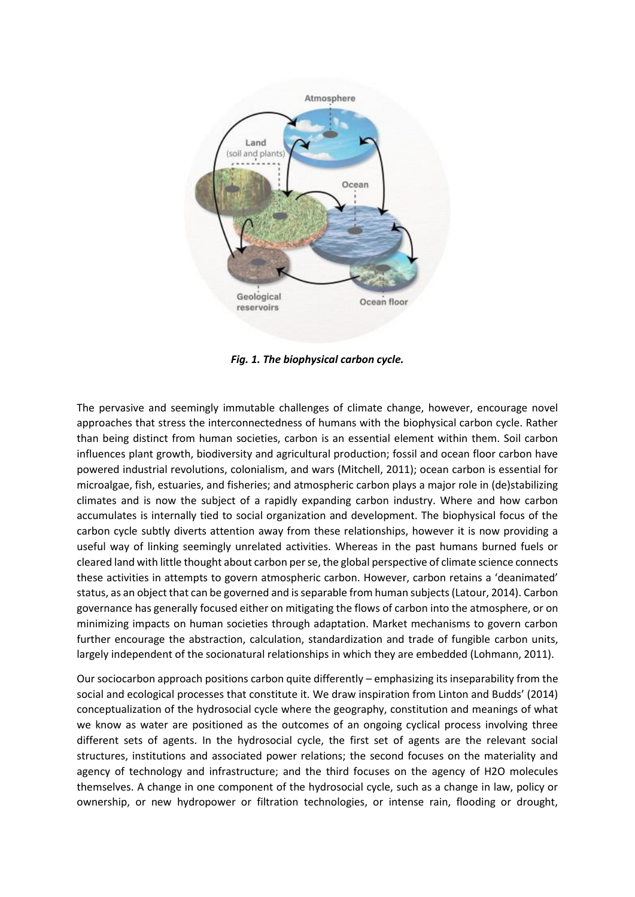

*Fig. 1. The biophysical carbon cycle.*

The pervasive and seemingly immutable challenges of climate change, however, encourage novel approaches that stress the interconnectedness of humans with the biophysical carbon cycle. Rather than being distinct from human societies, carbon is an essential element within them. Soil carbon influences plant growth, biodiversity and agricultural production; fossil and ocean floor carbon have powered industrial revolutions, colonialism, and wars (Mitchell, 2011); ocean carbon is essential for microalgae, fish, estuaries, and fisheries; and atmospheric carbon plays a major role in (de)stabilizing climates and is now the subject of a rapidly expanding carbon industry. Where and how carbon accumulates is internally tied to social organization and development. The biophysical focus of the carbon cycle subtly diverts attention away from these relationships, however it is now providing a useful way of linking seemingly unrelated activities. Whereas in the past humans burned fuels or cleared land with little thought about carbon per se, the global perspective of climate science connects these activities in attempts to govern atmospheric carbon. However, carbon retains a 'deanimated' status, as an object that can be governed and is separable from human subjects (Latour, 2014). Carbon governance has generally focused either on mitigating the flows of carbon into the atmosphere, or on minimizing impacts on human societies through adaptation. Market mechanisms to govern carbon further encourage the abstraction, calculation, standardization and trade of fungible carbon units, largely independent of the socionatural relationships in which they are embedded (Lohmann, 2011).

Our sociocarbon approach positions carbon quite differently – emphasizing its inseparability from the social and ecological processes that constitute it. We draw inspiration from Linton and Budds' (2014) conceptualization of the hydrosocial cycle where the geography, constitution and meanings of what we know as water are positioned as the outcomes of an ongoing cyclical process involving three different sets of agents. In the hydrosocial cycle, the first set of agents are the relevant social structures, institutions and associated power relations; the second focuses on the materiality and agency of technology and infrastructure; and the third focuses on the agency of H2O molecules themselves. A change in one component of the hydrosocial cycle, such as a change in law, policy or ownership, or new hydropower or filtration technologies, or intense rain, flooding or drought,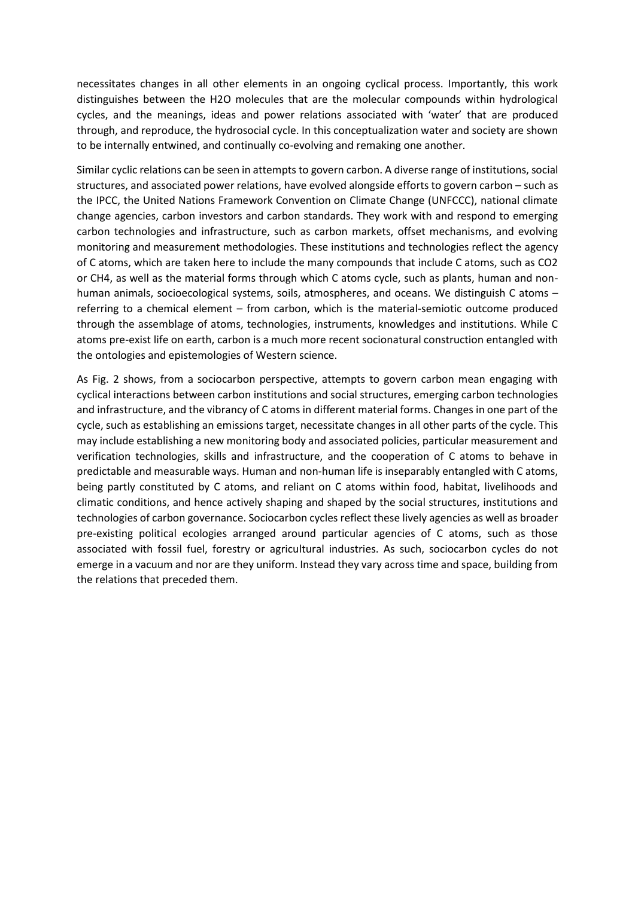necessitates changes in all other elements in an ongoing cyclical process. Importantly, this work distinguishes between the H2O molecules that are the molecular compounds within hydrological cycles, and the meanings, ideas and power relations associated with 'water' that are produced through, and reproduce, the hydrosocial cycle. In this conceptualization water and society are shown to be internally entwined, and continually co-evolving and remaking one another.

Similar cyclic relations can be seen in attempts to govern carbon. A diverse range of institutions, social structures, and associated power relations, have evolved alongside efforts to govern carbon – such as the IPCC, the United Nations Framework Convention on Climate Change (UNFCCC), national climate change agencies, carbon investors and carbon standards. They work with and respond to emerging carbon technologies and infrastructure, such as carbon markets, offset mechanisms, and evolving monitoring and measurement methodologies. These institutions and technologies reflect the agency of C atoms, which are taken here to include the many compounds that include C atoms, such as CO2 or CH4, as well as the material forms through which C atoms cycle, such as plants, human and nonhuman animals, socioecological systems, soils, atmospheres, and oceans. We distinguish C atoms – referring to a chemical element – from carbon, which is the material-semiotic outcome produced through the assemblage of atoms, technologies, instruments, knowledges and institutions. While C atoms pre-exist life on earth, carbon is a much more recent socionatural construction entangled with the ontologies and epistemologies of Western science.

As Fig. 2 shows, from a sociocarbon perspective, attempts to govern carbon mean engaging with cyclical interactions between carbon institutions and social structures, emerging carbon technologies and infrastructure, and the vibrancy of C atoms in different material forms. Changes in one part of the cycle, such as establishing an emissions target, necessitate changes in all other parts of the cycle. This may include establishing a new monitoring body and associated policies, particular measurement and verification technologies, skills and infrastructure, and the cooperation of C atoms to behave in predictable and measurable ways. Human and non-human life is inseparably entangled with C atoms, being partly constituted by C atoms, and reliant on C atoms within food, habitat, livelihoods and climatic conditions, and hence actively shaping and shaped by the social structures, institutions and technologies of carbon governance. Sociocarbon cycles reflect these lively agencies as well as broader pre-existing political ecologies arranged around particular agencies of C atoms, such as those associated with fossil fuel, forestry or agricultural industries. As such, sociocarbon cycles do not emerge in a vacuum and nor are they uniform. Instead they vary across time and space, building from the relations that preceded them.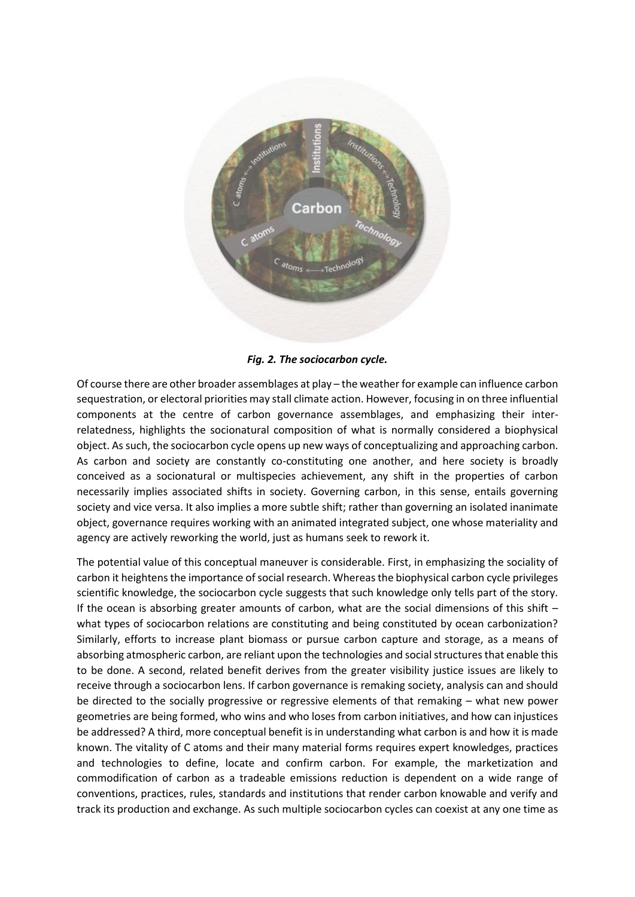

*Fig. 2. The sociocarbon cycle.*

Of course there are other broader assemblages at play – the weather for example can influence carbon sequestration, or electoral priorities may stall climate action. However, focusing in on three influential components at the centre of carbon governance assemblages, and emphasizing their interrelatedness, highlights the socionatural composition of what is normally considered a biophysical object. As such, the sociocarbon cycle opens up new ways of conceptualizing and approaching carbon. As carbon and society are constantly co-constituting one another, and here society is broadly conceived as a socionatural or multispecies achievement, any shift in the properties of carbon necessarily implies associated shifts in society. Governing carbon, in this sense, entails governing society and vice versa. It also implies a more subtle shift; rather than governing an isolated inanimate object, governance requires working with an animated integrated subject, one whose materiality and agency are actively reworking the world, just as humans seek to rework it.

The potential value of this conceptual maneuver is considerable. First, in emphasizing the sociality of carbon it heightens the importance of social research. Whereas the biophysical carbon cycle privileges scientific knowledge, the sociocarbon cycle suggests that such knowledge only tells part of the story. If the ocean is absorbing greater amounts of carbon, what are the social dimensions of this shift – what types of sociocarbon relations are constituting and being constituted by ocean carbonization? Similarly, efforts to increase plant biomass or pursue carbon capture and storage, as a means of absorbing atmospheric carbon, are reliant upon the technologies and social structures that enable this to be done. A second, related benefit derives from the greater visibility justice issues are likely to receive through a sociocarbon lens. If carbon governance is remaking society, analysis can and should be directed to the socially progressive or regressive elements of that remaking – what new power geometries are being formed, who wins and who loses from carbon initiatives, and how can injustices be addressed? A third, more conceptual benefit is in understanding what carbon is and how it is made known. The vitality of C atoms and their many material forms requires expert knowledges, practices and technologies to define, locate and confirm carbon. For example, the marketization and commodification of carbon as a tradeable emissions reduction is dependent on a wide range of conventions, practices, rules, standards and institutions that render carbon knowable and verify and track its production and exchange. As such multiple sociocarbon cycles can coexist at any one time as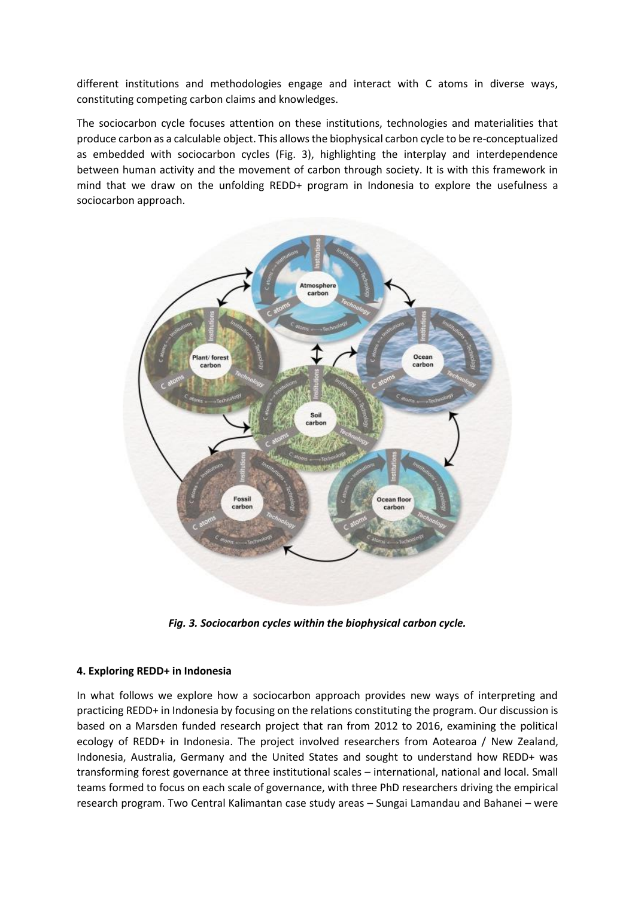different institutions and methodologies engage and interact with C atoms in diverse ways, constituting competing carbon claims and knowledges.

The sociocarbon cycle focuses attention on these institutions, technologies and materialities that produce carbon as a calculable object. This allows the biophysical carbon cycle to be re-conceptualized as embedded with sociocarbon cycles (Fig. 3), highlighting the interplay and interdependence between human activity and the movement of carbon through society. It is with this framework in mind that we draw on the unfolding REDD+ program in Indonesia to explore the usefulness a sociocarbon approach.



*Fig. 3. Sociocarbon cycles within the biophysical carbon cycle.*

## **4. Exploring REDD+ in Indonesia**

In what follows we explore how a sociocarbon approach provides new ways of interpreting and practicing REDD+ in Indonesia by focusing on the relations constituting the program. Our discussion is based on a Marsden funded research project that ran from 2012 to 2016, examining the political ecology of REDD+ in Indonesia. The project involved researchers from Aotearoa / New Zealand, Indonesia, Australia, Germany and the United States and sought to understand how REDD+ was transforming forest governance at three institutional scales – international, national and local. Small teams formed to focus on each scale of governance, with three PhD researchers driving the empirical research program. Two Central Kalimantan case study areas – Sungai Lamandau and Bahanei – were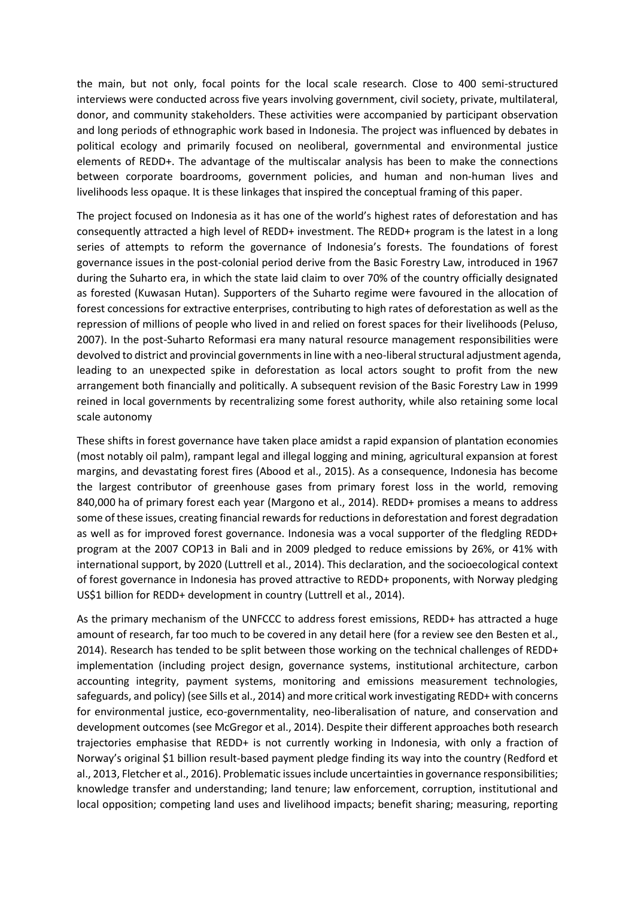the main, but not only, focal points for the local scale research. Close to 400 semi-structured interviews were conducted across five years involving government, civil society, private, multilateral, donor, and community stakeholders. These activities were accompanied by participant observation and long periods of ethnographic work based in Indonesia. The project was influenced by debates in political ecology and primarily focused on neoliberal, governmental and environmental justice elements of REDD+. The advantage of the multiscalar analysis has been to make the connections between corporate boardrooms, government policies, and human and non-human lives and livelihoods less opaque. It is these linkages that inspired the conceptual framing of this paper.

The project focused on Indonesia as it has one of the world's highest rates of deforestation and has consequently attracted a high level of REDD+ investment. The REDD+ program is the latest in a long series of attempts to reform the governance of Indonesia's forests. The foundations of forest governance issues in the post-colonial period derive from the Basic Forestry Law, introduced in 1967 during the Suharto era, in which the state laid claim to over 70% of the country officially designated as forested (Kuwasan Hutan). Supporters of the Suharto regime were favoured in the allocation of forest concessions for extractive enterprises, contributing to high rates of deforestation as well as the repression of millions of people who lived in and relied on forest spaces for their livelihoods (Peluso, 2007). In the post-Suharto Reformasi era many natural resource management responsibilities were devolved to district and provincial governments in line with a neo-liberal structural adjustment agenda, leading to an unexpected spike in deforestation as local actors sought to profit from the new arrangement both financially and politically. A subsequent revision of the Basic Forestry Law in 1999 reined in local governments by recentralizing some forest authority, while also retaining some local scale autonomy

These shifts in forest governance have taken place amidst a rapid expansion of plantation economies (most notably oil palm), rampant legal and illegal logging and mining, agricultural expansion at forest margins, and devastating forest fires (Abood et al., 2015). As a consequence, Indonesia has become the largest contributor of greenhouse gases from primary forest loss in the world, removing 840,000 ha of primary forest each year (Margono et al., 2014). REDD+ promises a means to address some of these issues, creating financial rewards for reductions in deforestation and forest degradation as well as for improved forest governance. Indonesia was a vocal supporter of the fledgling REDD+ program at the 2007 COP13 in Bali and in 2009 pledged to reduce emissions by 26%, or 41% with international support, by 2020 (Luttrell et al., 2014). This declaration, and the socioecological context of forest governance in Indonesia has proved attractive to REDD+ proponents, with Norway pledging US\$1 billion for REDD+ development in country (Luttrell et al., 2014).

As the primary mechanism of the UNFCCC to address forest emissions, REDD+ has attracted a huge amount of research, far too much to be covered in any detail here (for a review see den Besten et al., 2014). Research has tended to be split between those working on the technical challenges of REDD+ implementation (including project design, governance systems, institutional architecture, carbon accounting integrity, payment systems, monitoring and emissions measurement technologies, safeguards, and policy) (see Sills et al., 2014) and more critical work investigating REDD+ with concerns for environmental justice, eco-governmentality, neo-liberalisation of nature, and conservation and development outcomes (see McGregor et al., 2014). Despite their different approaches both research trajectories emphasise that REDD+ is not currently working in Indonesia, with only a fraction of Norway's original \$1 billion result-based payment pledge finding its way into the country (Redford et al., 2013, Fletcher et al., 2016). Problematic issues include uncertainties in governance responsibilities; knowledge transfer and understanding; land tenure; law enforcement, corruption, institutional and local opposition; competing land uses and livelihood impacts; benefit sharing; measuring, reporting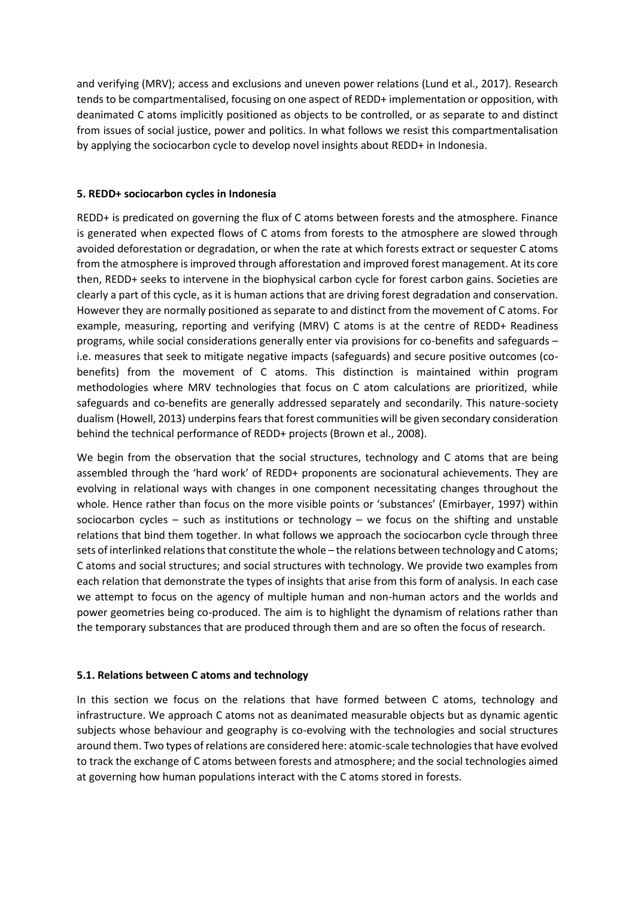and verifying (MRV); access and exclusions and uneven power relations (Lund et al., 2017). Research tends to be compartmentalised, focusing on one aspect of REDD+ implementation or opposition, with deanimated C atoms implicitly positioned as objects to be controlled, or as separate to and distinct from issues of social justice, power and politics. In what follows we resist this compartmentalisation by applying the sociocarbon cycle to develop novel insights about REDD+ in Indonesia.

## **5. REDD+ sociocarbon cycles in Indonesia**

REDD+ is predicated on governing the flux of C atoms between forests and the atmosphere. Finance is generated when expected flows of C atoms from forests to the atmosphere are slowed through avoided deforestation or degradation, or when the rate at which forests extract or sequester C atoms from the atmosphere is improved through afforestation and improved forest management. At its core then, REDD+ seeks to intervene in the biophysical carbon cycle for forest carbon gains. Societies are clearly a part of this cycle, as it is human actions that are driving forest degradation and conservation. However they are normally positioned as separate to and distinct from the movement of C atoms. For example, measuring, reporting and verifying (MRV) C atoms is at the centre of REDD+ Readiness programs, while social considerations generally enter via provisions for co-benefits and safeguards – i.e. measures that seek to mitigate negative impacts (safeguards) and secure positive outcomes (cobenefits) from the movement of C atoms. This distinction is maintained within program methodologies where MRV technologies that focus on C atom calculations are prioritized, while safeguards and co-benefits are generally addressed separately and secondarily. This nature-society dualism (Howell, 2013) underpins fears that forest communities will be given secondary consideration behind the technical performance of REDD+ projects (Brown et al., 2008).

We begin from the observation that the social structures, technology and C atoms that are being assembled through the 'hard work' of REDD+ proponents are socionatural achievements. They are evolving in relational ways with changes in one component necessitating changes throughout the whole. Hence rather than focus on the more visible points or 'substances' (Emirbayer, 1997) within sociocarbon cycles – such as institutions or technology – we focus on the shifting and unstable relations that bind them together. In what follows we approach the sociocarbon cycle through three sets of interlinked relations that constitute the whole – the relations between technology and C atoms; C atoms and social structures; and social structures with technology. We provide two examples from each relation that demonstrate the types of insights that arise from this form of analysis. In each case we attempt to focus on the agency of multiple human and non-human actors and the worlds and power geometries being co-produced. The aim is to highlight the dynamism of relations rather than the temporary substances that are produced through them and are so often the focus of research.

## **5.1. Relations between C atoms and technology**

In this section we focus on the relations that have formed between C atoms, technology and infrastructure. We approach C atoms not as deanimated measurable objects but as dynamic agentic subjects whose behaviour and geography is co-evolving with the technologies and social structures around them. Two types of relations are considered here: atomic-scale technologies that have evolved to track the exchange of C atoms between forests and atmosphere; and the social technologies aimed at governing how human populations interact with the C atoms stored in forests.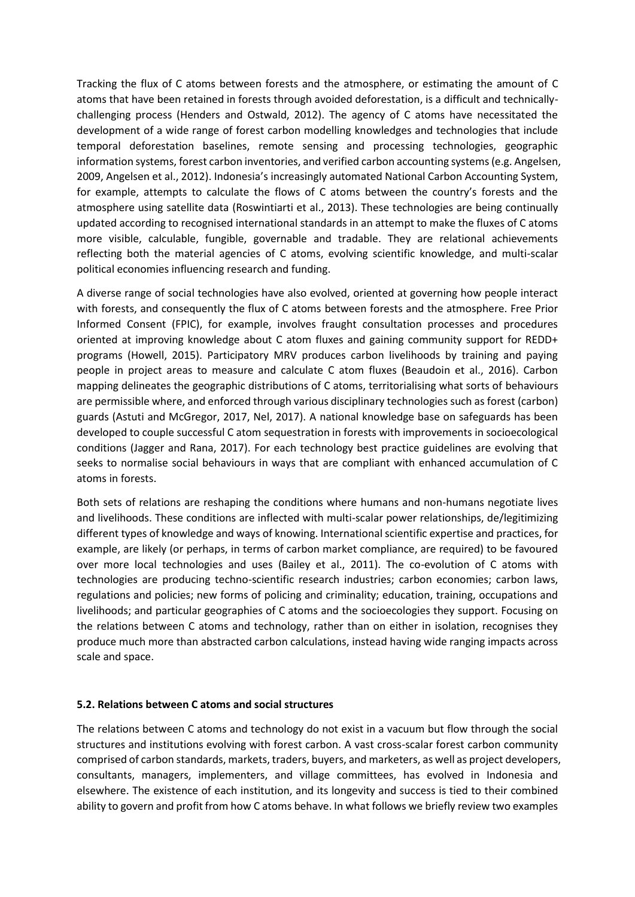Tracking the flux of C atoms between forests and the atmosphere, or estimating the amount of C atoms that have been retained in forests through avoided deforestation, is a difficult and technicallychallenging process (Henders and Ostwald, 2012). The agency of C atoms have necessitated the development of a wide range of forest carbon modelling knowledges and technologies that include temporal deforestation baselines, remote sensing and processing technologies, geographic information systems, forest carbon inventories, and verified carbon accounting systems (e.g. Angelsen, 2009, Angelsen et al., 2012). Indonesia's increasingly automated National Carbon Accounting System, for example, attempts to calculate the flows of C atoms between the country's forests and the atmosphere using satellite data (Roswintiarti et al., 2013). These technologies are being continually updated according to recognised international standards in an attempt to make the fluxes of C atoms more visible, calculable, fungible, governable and tradable. They are relational achievements reflecting both the material agencies of C atoms, evolving scientific knowledge, and multi-scalar political economies influencing research and funding.

A diverse range of social technologies have also evolved, oriented at governing how people interact with forests, and consequently the flux of C atoms between forests and the atmosphere. Free Prior Informed Consent (FPIC), for example, involves fraught consultation processes and procedures oriented at improving knowledge about C atom fluxes and gaining community support for REDD+ programs (Howell, 2015). Participatory MRV produces carbon livelihoods by training and paying people in project areas to measure and calculate C atom fluxes (Beaudoin et al., 2016). Carbon mapping delineates the geographic distributions of C atoms, territorialising what sorts of behaviours are permissible where, and enforced through various disciplinary technologies such as forest (carbon) guards (Astuti and McGregor, 2017, Nel, 2017). A national knowledge base on safeguards has been developed to couple successful C atom sequestration in forests with improvements in socioecological conditions (Jagger and Rana, 2017). For each technology best practice guidelines are evolving that seeks to normalise social behaviours in ways that are compliant with enhanced accumulation of C atoms in forests.

Both sets of relations are reshaping the conditions where humans and non-humans negotiate lives and livelihoods. These conditions are inflected with multi-scalar power relationships, de/legitimizing different types of knowledge and ways of knowing. International scientific expertise and practices, for example, are likely (or perhaps, in terms of carbon market compliance, are required) to be favoured over more local technologies and uses (Bailey et al., 2011). The co-evolution of C atoms with technologies are producing techno-scientific research industries; carbon economies; carbon laws, regulations and policies; new forms of policing and criminality; education, training, occupations and livelihoods; and particular geographies of C atoms and the socioecologies they support. Focusing on the relations between C atoms and technology, rather than on either in isolation, recognises they produce much more than abstracted carbon calculations, instead having wide ranging impacts across scale and space.

## **5.2. Relations between C atoms and social structures**

The relations between C atoms and technology do not exist in a vacuum but flow through the social structures and institutions evolving with forest carbon. A vast cross-scalar forest carbon community comprised of carbon standards, markets, traders, buyers, and marketers, as well as project developers, consultants, managers, implementers, and village committees, has evolved in Indonesia and elsewhere. The existence of each institution, and its longevity and success is tied to their combined ability to govern and profit from how C atoms behave. In what follows we briefly review two examples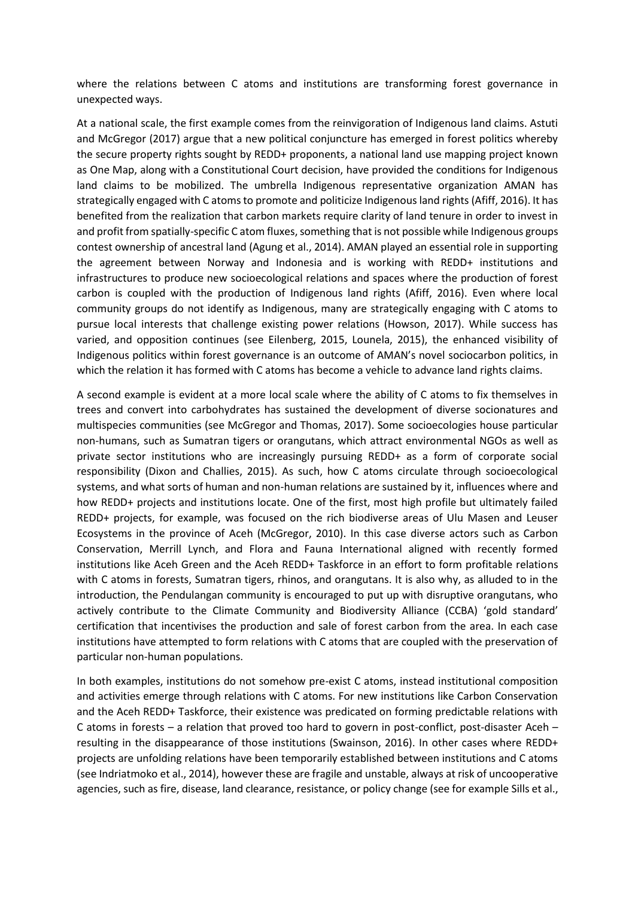where the relations between C atoms and institutions are transforming forest governance in unexpected ways.

At a national scale, the first example comes from the reinvigoration of Indigenous land claims. Astuti and McGregor (2017) argue that a new political conjuncture has emerged in forest politics whereby the secure property rights sought by REDD+ proponents, a national land use mapping project known as One Map, along with a Constitutional Court decision, have provided the conditions for Indigenous land claims to be mobilized. The umbrella Indigenous representative organization AMAN has strategically engaged with C atoms to promote and politicize Indigenous land rights (Afiff, 2016). It has benefited from the realization that carbon markets require clarity of land tenure in order to invest in and profit from spatially-specific C atom fluxes, something that is not possible while Indigenous groups contest ownership of ancestral land (Agung et al., 2014). AMAN played an essential role in supporting the agreement between Norway and Indonesia and is working with REDD+ institutions and infrastructures to produce new socioecological relations and spaces where the production of forest carbon is coupled with the production of Indigenous land rights (Afiff, 2016). Even where local community groups do not identify as Indigenous, many are strategically engaging with C atoms to pursue local interests that challenge existing power relations (Howson, 2017). While success has varied, and opposition continues (see Eilenberg, 2015, Lounela, 2015), the enhanced visibility of Indigenous politics within forest governance is an outcome of AMAN's novel sociocarbon politics, in which the relation it has formed with C atoms has become a vehicle to advance land rights claims.

A second example is evident at a more local scale where the ability of C atoms to fix themselves in trees and convert into carbohydrates has sustained the development of diverse socionatures and multispecies communities (see McGregor and Thomas, 2017). Some socioecologies house particular non-humans, such as Sumatran tigers or orangutans, which attract environmental NGOs as well as private sector institutions who are increasingly pursuing REDD+ as a form of corporate social responsibility (Dixon and Challies, 2015). As such, how C atoms circulate through socioecological systems, and what sorts of human and non-human relations are sustained by it, influences where and how REDD+ projects and institutions locate. One of the first, most high profile but ultimately failed REDD+ projects, for example, was focused on the rich biodiverse areas of Ulu Masen and Leuser Ecosystems in the province of Aceh (McGregor, 2010). In this case diverse actors such as Carbon Conservation, Merrill Lynch, and Flora and Fauna International aligned with recently formed institutions like Aceh Green and the Aceh REDD+ Taskforce in an effort to form profitable relations with C atoms in forests, Sumatran tigers, rhinos, and orangutans. It is also why, as alluded to in the introduction, the Pendulangan community is encouraged to put up with disruptive orangutans, who actively contribute to the Climate Community and Biodiversity Alliance (CCBA) 'gold standard' certification that incentivises the production and sale of forest carbon from the area. In each case institutions have attempted to form relations with C atoms that are coupled with the preservation of particular non-human populations.

In both examples, institutions do not somehow pre-exist C atoms, instead institutional composition and activities emerge through relations with C atoms. For new institutions like Carbon Conservation and the Aceh REDD+ Taskforce, their existence was predicated on forming predictable relations with C atoms in forests – a relation that proved too hard to govern in post-conflict, post-disaster Aceh – resulting in the disappearance of those institutions (Swainson, 2016). In other cases where REDD+ projects are unfolding relations have been temporarily established between institutions and C atoms (see Indriatmoko et al., 2014), however these are fragile and unstable, always at risk of uncooperative agencies, such as fire, disease, land clearance, resistance, or policy change (see for example Sills et al.,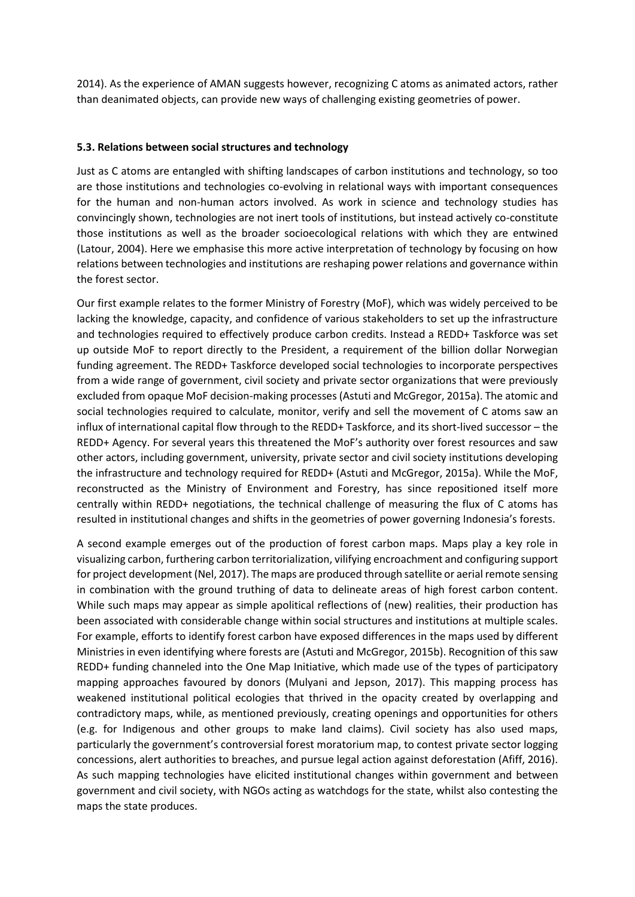2014). As the experience of AMAN suggests however, recognizing C atoms as animated actors, rather than deanimated objects, can provide new ways of challenging existing geometries of power.

## **5.3. Relations between social structures and technology**

Just as C atoms are entangled with shifting landscapes of carbon institutions and technology, so too are those institutions and technologies co-evolving in relational ways with important consequences for the human and non-human actors involved. As work in science and technology studies has convincingly shown, technologies are not inert tools of institutions, but instead actively co-constitute those institutions as well as the broader socioecological relations with which they are entwined (Latour, 2004). Here we emphasise this more active interpretation of technology by focusing on how relations between technologies and institutions are reshaping power relations and governance within the forest sector.

Our first example relates to the former Ministry of Forestry (MoF), which was widely perceived to be lacking the knowledge, capacity, and confidence of various stakeholders to set up the infrastructure and technologies required to effectively produce carbon credits. Instead a REDD+ Taskforce was set up outside MoF to report directly to the President, a requirement of the billion dollar Norwegian funding agreement. The REDD+ Taskforce developed social technologies to incorporate perspectives from a wide range of government, civil society and private sector organizations that were previously excluded from opaque MoF decision-making processes (Astuti and McGregor, 2015a). The atomic and social technologies required to calculate, monitor, verify and sell the movement of C atoms saw an influx of international capital flow through to the REDD+ Taskforce, and its short-lived successor – the REDD+ Agency. For several years this threatened the MoF's authority over forest resources and saw other actors, including government, university, private sector and civil society institutions developing the infrastructure and technology required for REDD+ (Astuti and McGregor, 2015a). While the MoF, reconstructed as the Ministry of Environment and Forestry, has since repositioned itself more centrally within REDD+ negotiations, the technical challenge of measuring the flux of C atoms has resulted in institutional changes and shifts in the geometries of power governing Indonesia's forests.

A second example emerges out of the production of forest carbon maps. Maps play a key role in visualizing carbon, furthering carbon territorialization, vilifying encroachment and configuring support for project development (Nel, 2017). The maps are produced through satellite or aerial remote sensing in combination with the ground truthing of data to delineate areas of high forest carbon content. While such maps may appear as simple apolitical reflections of (new) realities, their production has been associated with considerable change within social structures and institutions at multiple scales. For example, efforts to identify forest carbon have exposed differences in the maps used by different Ministries in even identifying where forests are (Astuti and McGregor, 2015b). Recognition of this saw REDD+ funding channeled into the One Map Initiative, which made use of the types of participatory mapping approaches favoured by donors (Mulyani and Jepson, 2017). This mapping process has weakened institutional political ecologies that thrived in the opacity created by overlapping and contradictory maps, while, as mentioned previously, creating openings and opportunities for others (e.g. for Indigenous and other groups to make land claims). Civil society has also used maps, particularly the government's controversial forest moratorium map, to contest private sector logging concessions, alert authorities to breaches, and pursue legal action against deforestation (Afiff, 2016). As such mapping technologies have elicited institutional changes within government and between government and civil society, with NGOs acting as watchdogs for the state, whilst also contesting the maps the state produces.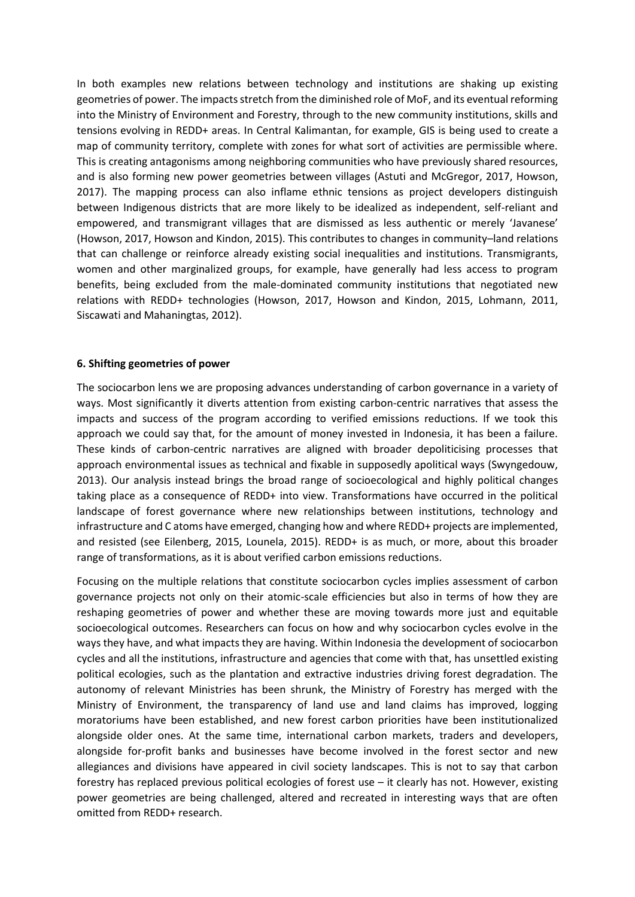In both examples new relations between technology and institutions are shaking up existing geometries of power. The impacts stretch from the diminished role of MoF, and its eventual reforming into the Ministry of Environment and Forestry, through to the new community institutions, skills and tensions evolving in REDD+ areas. In Central Kalimantan, for example, GIS is being used to create a map of community territory, complete with zones for what sort of activities are permissible where. This is creating antagonisms among neighboring communities who have previously shared resources, and is also forming new power geometries between villages (Astuti and McGregor, 2017, Howson, 2017). The mapping process can also inflame ethnic tensions as project developers distinguish between Indigenous districts that are more likely to be idealized as independent, self-reliant and empowered, and transmigrant villages that are dismissed as less authentic or merely 'Javanese' (Howson, 2017, Howson and Kindon, 2015). This contributes to changes in community–land relations that can challenge or reinforce already existing social inequalities and institutions. Transmigrants, women and other marginalized groups, for example, have generally had less access to program benefits, being excluded from the male-dominated community institutions that negotiated new relations with REDD+ technologies (Howson, 2017, Howson and Kindon, 2015, Lohmann, 2011, Siscawati and Mahaningtas, 2012).

## **6. Shifting geometries of power**

The sociocarbon lens we are proposing advances understanding of carbon governance in a variety of ways. Most significantly it diverts attention from existing carbon-centric narratives that assess the impacts and success of the program according to verified emissions reductions. If we took this approach we could say that, for the amount of money invested in Indonesia, it has been a failure. These kinds of carbon-centric narratives are aligned with broader depoliticising processes that approach environmental issues as technical and fixable in supposedly apolitical ways (Swyngedouw, 2013). Our analysis instead brings the broad range of socioecological and highly political changes taking place as a consequence of REDD+ into view. Transformations have occurred in the political landscape of forest governance where new relationships between institutions, technology and infrastructure and C atoms have emerged, changing how and where REDD+ projects are implemented, and resisted (see Eilenberg, 2015, Lounela, 2015). REDD+ is as much, or more, about this broader range of transformations, as it is about verified carbon emissions reductions.

Focusing on the multiple relations that constitute sociocarbon cycles implies assessment of carbon governance projects not only on their atomic-scale efficiencies but also in terms of how they are reshaping geometries of power and whether these are moving towards more just and equitable socioecological outcomes. Researchers can focus on how and why sociocarbon cycles evolve in the ways they have, and what impacts they are having. Within Indonesia the development of sociocarbon cycles and all the institutions, infrastructure and agencies that come with that, has unsettled existing political ecologies, such as the plantation and extractive industries driving forest degradation. The autonomy of relevant Ministries has been shrunk, the Ministry of Forestry has merged with the Ministry of Environment, the transparency of land use and land claims has improved, logging moratoriums have been established, and new forest carbon priorities have been institutionalized alongside older ones. At the same time, international carbon markets, traders and developers, alongside for-profit banks and businesses have become involved in the forest sector and new allegiances and divisions have appeared in civil society landscapes. This is not to say that carbon forestry has replaced previous political ecologies of forest use – it clearly has not. However, existing power geometries are being challenged, altered and recreated in interesting ways that are often omitted from REDD+ research.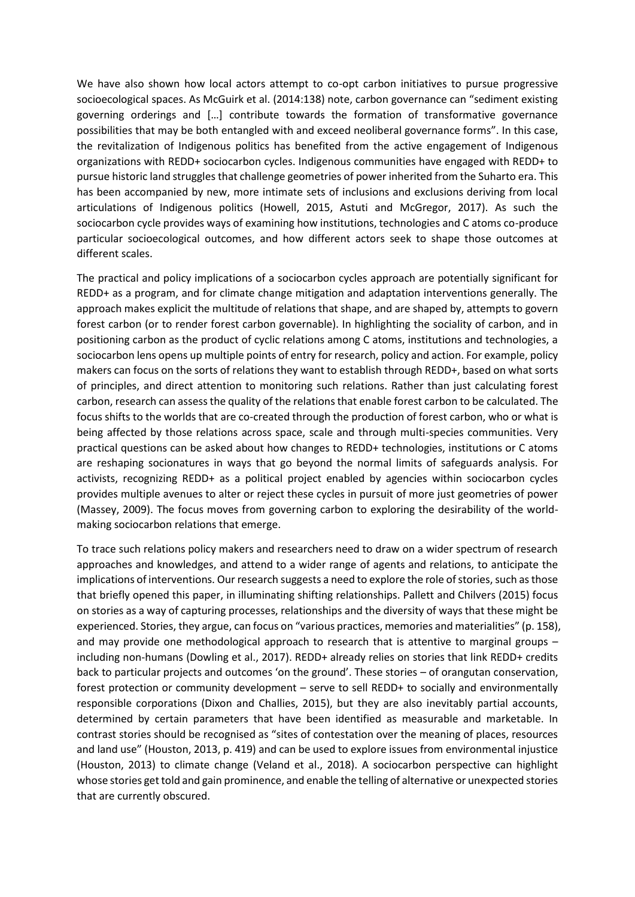We have also shown how local actors attempt to co-opt carbon initiatives to pursue progressive socioecological spaces. As McGuirk et al. (2014:138) note, carbon governance can "sediment existing governing orderings and […] contribute towards the formation of transformative governance possibilities that may be both entangled with and exceed neoliberal governance forms". In this case, the revitalization of Indigenous politics has benefited from the active engagement of Indigenous organizations with REDD+ sociocarbon cycles. Indigenous communities have engaged with REDD+ to pursue historic land struggles that challenge geometries of power inherited from the Suharto era. This has been accompanied by new, more intimate sets of inclusions and exclusions deriving from local articulations of Indigenous politics (Howell, 2015, Astuti and McGregor, 2017). As such the sociocarbon cycle provides ways of examining how institutions, technologies and C atoms co-produce particular socioecological outcomes, and how different actors seek to shape those outcomes at different scales.

The practical and policy implications of a sociocarbon cycles approach are potentially significant for REDD+ as a program, and for climate change mitigation and adaptation interventions generally. The approach makes explicit the multitude of relations that shape, and are shaped by, attempts to govern forest carbon (or to render forest carbon governable). In highlighting the sociality of carbon, and in positioning carbon as the product of cyclic relations among C atoms, institutions and technologies, a sociocarbon lens opens up multiple points of entry for research, policy and action. For example, policy makers can focus on the sorts of relations they want to establish through REDD+, based on what sorts of principles, and direct attention to monitoring such relations. Rather than just calculating forest carbon, research can assess the quality of the relations that enable forest carbon to be calculated. The focus shifts to the worlds that are co-created through the production of forest carbon, who or what is being affected by those relations across space, scale and through multi-species communities. Very practical questions can be asked about how changes to REDD+ technologies, institutions or C atoms are reshaping socionatures in ways that go beyond the normal limits of safeguards analysis. For activists, recognizing REDD+ as a political project enabled by agencies within sociocarbon cycles provides multiple avenues to alter or reject these cycles in pursuit of more just geometries of power (Massey, 2009). The focus moves from governing carbon to exploring the desirability of the worldmaking sociocarbon relations that emerge.

To trace such relations policy makers and researchers need to draw on a wider spectrum of research approaches and knowledges, and attend to a wider range of agents and relations, to anticipate the implications of interventions. Our research suggests a need to explore the role of stories, such as those that briefly opened this paper, in illuminating shifting relationships. Pallett and Chilvers (2015) focus on stories as a way of capturing processes, relationships and the diversity of ways that these might be experienced. Stories, they argue, can focus on "various practices, memories and materialities" (p. 158), and may provide one methodological approach to research that is attentive to marginal groups – including non-humans (Dowling et al., 2017). REDD+ already relies on stories that link REDD+ credits back to particular projects and outcomes 'on the ground'. These stories – of orangutan conservation, forest protection or community development – serve to sell REDD+ to socially and environmentally responsible corporations (Dixon and Challies, 2015), but they are also inevitably partial accounts, determined by certain parameters that have been identified as measurable and marketable. In contrast stories should be recognised as "sites of contestation over the meaning of places, resources and land use" (Houston, 2013, p. 419) and can be used to explore issues from environmental injustice (Houston, 2013) to climate change (Veland et al., 2018). A sociocarbon perspective can highlight whose stories get told and gain prominence, and enable the telling of alternative or unexpected stories that are currently obscured.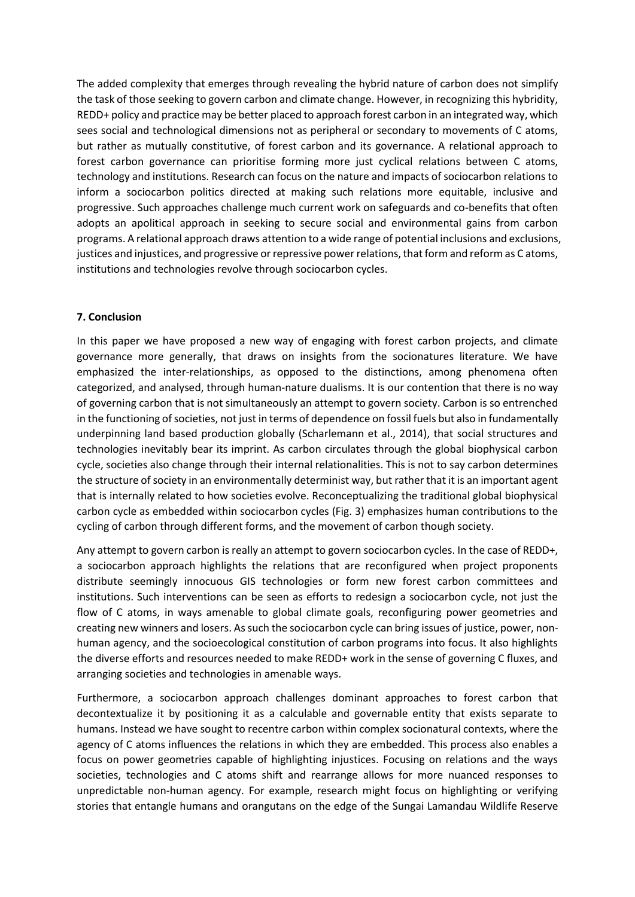The added complexity that emerges through revealing the hybrid nature of carbon does not simplify the task of those seeking to govern carbon and climate change. However, in recognizing this hybridity, REDD+ policy and practice may be better placed to approach forest carbon in an integrated way, which sees social and technological dimensions not as peripheral or secondary to movements of C atoms, but rather as mutually constitutive, of forest carbon and its governance. A relational approach to forest carbon governance can prioritise forming more just cyclical relations between C atoms, technology and institutions. Research can focus on the nature and impacts of sociocarbon relations to inform a sociocarbon politics directed at making such relations more equitable, inclusive and progressive. Such approaches challenge much current work on safeguards and co-benefits that often adopts an apolitical approach in seeking to secure social and environmental gains from carbon programs. A relational approach draws attention to a wide range of potential inclusions and exclusions, justices and injustices, and progressive or repressive power relations, that form and reform as C atoms, institutions and technologies revolve through sociocarbon cycles.

## **7. Conclusion**

In this paper we have proposed a new way of engaging with forest carbon projects, and climate governance more generally, that draws on insights from the socionatures literature. We have emphasized the inter-relationships, as opposed to the distinctions, among phenomena often categorized, and analysed, through human-nature dualisms. It is our contention that there is no way of governing carbon that is not simultaneously an attempt to govern society. Carbon is so entrenched in the functioning of societies, not just in terms of dependence on fossil fuels but also in fundamentally underpinning land based production globally (Scharlemann et al., 2014), that social structures and technologies inevitably bear its imprint. As carbon circulates through the global biophysical carbon cycle, societies also change through their internal relationalities. This is not to say carbon determines the structure of society in an environmentally determinist way, but rather that it is an important agent that is internally related to how societies evolve. Reconceptualizing the traditional global biophysical carbon cycle as embedded within sociocarbon cycles (Fig. 3) emphasizes human contributions to the cycling of carbon through different forms, and the movement of carbon though society.

Any attempt to govern carbon is really an attempt to govern sociocarbon cycles. In the case of REDD+, a sociocarbon approach highlights the relations that are reconfigured when project proponents distribute seemingly innocuous GIS technologies or form new forest carbon committees and institutions. Such interventions can be seen as efforts to redesign a sociocarbon cycle, not just the flow of C atoms, in ways amenable to global climate goals, reconfiguring power geometries and creating new winners and losers. As such the sociocarbon cycle can bring issues of justice, power, nonhuman agency, and the socioecological constitution of carbon programs into focus. It also highlights the diverse efforts and resources needed to make REDD+ work in the sense of governing C fluxes, and arranging societies and technologies in amenable ways.

Furthermore, a sociocarbon approach challenges dominant approaches to forest carbon that decontextualize it by positioning it as a calculable and governable entity that exists separate to humans. Instead we have sought to recentre carbon within complex socionatural contexts, where the agency of C atoms influences the relations in which they are embedded. This process also enables a focus on power geometries capable of highlighting injustices. Focusing on relations and the ways societies, technologies and C atoms shift and rearrange allows for more nuanced responses to unpredictable non-human agency. For example, research might focus on highlighting or verifying stories that entangle humans and orangutans on the edge of the Sungai Lamandau Wildlife Reserve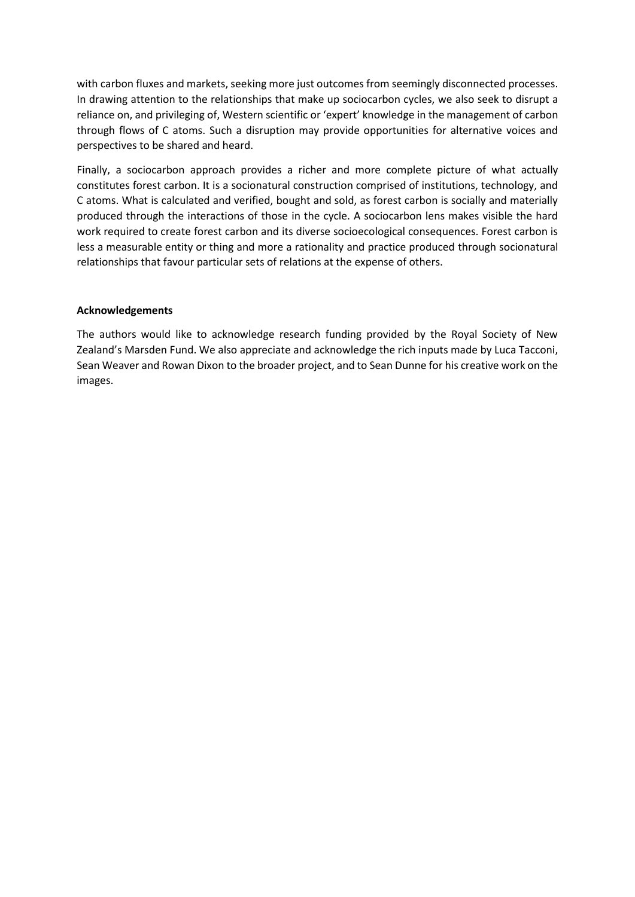with carbon fluxes and markets, seeking more just outcomes from seemingly disconnected processes. In drawing attention to the relationships that make up sociocarbon cycles, we also seek to disrupt a reliance on, and privileging of, Western scientific or 'expert' knowledge in the management of carbon through flows of C atoms. Such a disruption may provide opportunities for alternative voices and perspectives to be shared and heard.

Finally, a sociocarbon approach provides a richer and more complete picture of what actually constitutes forest carbon. It is a socionatural construction comprised of institutions, technology, and C atoms. What is calculated and verified, bought and sold, as forest carbon is socially and materially produced through the interactions of those in the cycle. A sociocarbon lens makes visible the hard work required to create forest carbon and its diverse socioecological consequences. Forest carbon is less a measurable entity or thing and more a rationality and practice produced through socionatural relationships that favour particular sets of relations at the expense of others.

## **Acknowledgements**

The authors would like to acknowledge research funding provided by the Royal Society of New Zealand's Marsden Fund. We also appreciate and acknowledge the rich inputs made by Luca Tacconi, Sean Weaver and Rowan Dixon to the broader project, and to Sean Dunne for his creative work on the images.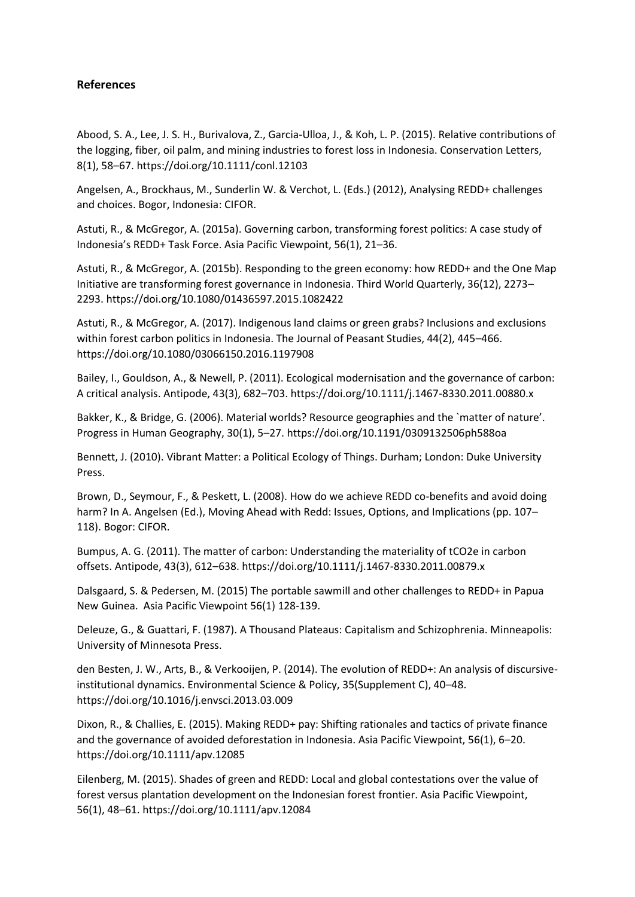## **References**

Abood, S. A., Lee, J. S. H., Burivalova, Z., Garcia-Ulloa, J., & Koh, L. P. (2015). Relative contributions of the logging, fiber, oil palm, and mining industries to forest loss in Indonesia. Conservation Letters, 8(1), 58–67. https://doi.org/10.1111/conl.12103

Angelsen, A., Brockhaus, M., Sunderlin W. & Verchot, L. (Eds.) (2012), Analysing REDD+ challenges and choices. Bogor, Indonesia: CIFOR.

Astuti, R., & McGregor, A. (2015a). Governing carbon, transforming forest politics: A case study of Indonesia's REDD+ Task Force. Asia Pacific Viewpoint, 56(1), 21–36.

Astuti, R., & McGregor, A. (2015b). Responding to the green economy: how REDD+ and the One Map Initiative are transforming forest governance in Indonesia. Third World Quarterly, 36(12), 2273– 2293. https://doi.org/10.1080/01436597.2015.1082422

Astuti, R., & McGregor, A. (2017). Indigenous land claims or green grabs? Inclusions and exclusions within forest carbon politics in Indonesia. The Journal of Peasant Studies, 44(2), 445–466. https://doi.org/10.1080/03066150.2016.1197908

Bailey, I., Gouldson, A., & Newell, P. (2011). Ecological modernisation and the governance of carbon: A critical analysis. Antipode, 43(3), 682–703. https://doi.org/10.1111/j.1467-8330.2011.00880.x

Bakker, K., & Bridge, G. (2006). Material worlds? Resource geographies and the `matter of nature'. Progress in Human Geography, 30(1), 5–27. https://doi.org/10.1191/0309132506ph588oa

Bennett, J. (2010). Vibrant Matter: a Political Ecology of Things. Durham; London: Duke University Press.

Brown, D., Seymour, F., & Peskett, L. (2008). How do we achieve REDD co-benefits and avoid doing harm? In A. Angelsen (Ed.), Moving Ahead with Redd: Issues, Options, and Implications (pp. 107– 118). Bogor: CIFOR.

Bumpus, A. G. (2011). The matter of carbon: Understanding the materiality of tCO2e in carbon offsets. Antipode, 43(3), 612–638. https://doi.org/10.1111/j.1467-8330.2011.00879.x

Dalsgaard, S. & Pedersen, M. (2015) The portable sawmill and other challenges to REDD+ in Papua New Guinea. Asia Pacific Viewpoint 56(1) 128-139.

Deleuze, G., & Guattari, F. (1987). A Thousand Plateaus: Capitalism and Schizophrenia. Minneapolis: University of Minnesota Press.

den Besten, J. W., Arts, B., & Verkooijen, P. (2014). The evolution of REDD+: An analysis of discursiveinstitutional dynamics. Environmental Science & Policy, 35(Supplement C), 40–48. https://doi.org/10.1016/j.envsci.2013.03.009

Dixon, R., & Challies, E. (2015). Making REDD+ pay: Shifting rationales and tactics of private finance and the governance of avoided deforestation in Indonesia. Asia Pacific Viewpoint, 56(1), 6–20. https://doi.org/10.1111/apv.12085

Eilenberg, M. (2015). Shades of green and REDD: Local and global contestations over the value of forest versus plantation development on the Indonesian forest frontier. Asia Pacific Viewpoint, 56(1), 48–61. https://doi.org/10.1111/apv.12084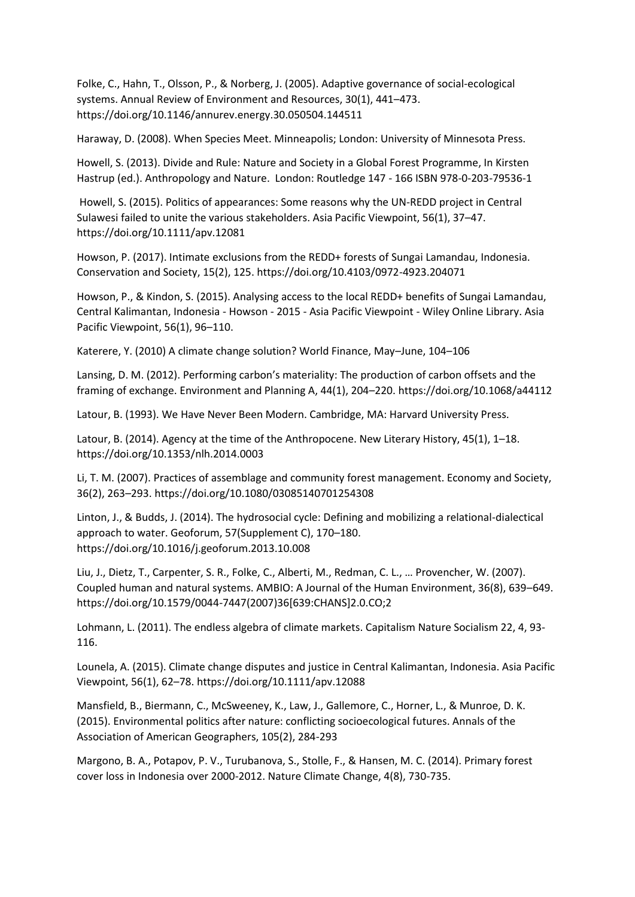Folke, C., Hahn, T., Olsson, P., & Norberg, J. (2005). Adaptive governance of social-ecological systems. Annual Review of Environment and Resources, 30(1), 441–473. https://doi.org/10.1146/annurev.energy.30.050504.144511

Haraway, D. (2008). When Species Meet. Minneapolis; London: University of Minnesota Press.

Howell, S. (2013). Divide and Rule: Nature and Society in a Global Forest Programme, In Kirsten Hastrup (ed.). Anthropology and Nature. London: Routledge 147 - 166 ISBN 978-0-203-79536-1

Howell, S. (2015). Politics of appearances: Some reasons why the UN-REDD project in Central Sulawesi failed to unite the various stakeholders. Asia Pacific Viewpoint, 56(1), 37–47. https://doi.org/10.1111/apv.12081

Howson, P. (2017). Intimate exclusions from the REDD+ forests of Sungai Lamandau, Indonesia. Conservation and Society, 15(2), 125. https://doi.org/10.4103/0972-4923.204071

Howson, P., & Kindon, S. (2015). Analysing access to the local REDD+ benefits of Sungai Lamandau, Central Kalimantan, Indonesia - Howson - 2015 - Asia Pacific Viewpoint - Wiley Online Library. Asia Pacific Viewpoint, 56(1), 96–110.

Katerere, Y. (2010) A climate change solution? World Finance, May–June, 104–106

Lansing, D. M. (2012). Performing carbon's materiality: The production of carbon offsets and the framing of exchange. Environment and Planning A, 44(1), 204–220. https://doi.org/10.1068/a44112

Latour, B. (1993). We Have Never Been Modern. Cambridge, MA: Harvard University Press.

Latour, B. (2014). Agency at the time of the Anthropocene. New Literary History, 45(1), 1–18. https://doi.org/10.1353/nlh.2014.0003

Li, T. M. (2007). Practices of assemblage and community forest management. Economy and Society, 36(2), 263–293. https://doi.org/10.1080/03085140701254308

Linton, J., & Budds, J. (2014). The hydrosocial cycle: Defining and mobilizing a relational-dialectical approach to water. Geoforum, 57(Supplement C), 170–180. https://doi.org/10.1016/j.geoforum.2013.10.008

Liu, J., Dietz, T., Carpenter, S. R., Folke, C., Alberti, M., Redman, C. L., … Provencher, W. (2007). Coupled human and natural systems. AMBIO: A Journal of the Human Environment, 36(8), 639–649. https://doi.org/10.1579/0044-7447(2007)36[639:CHANS]2.0.CO;2

Lohmann, L. (2011). The endless algebra of climate markets. Capitalism Nature Socialism 22, 4, 93- 116.

Lounela, A. (2015). Climate change disputes and justice in Central Kalimantan, Indonesia. Asia Pacific Viewpoint, 56(1), 62–78. https://doi.org/10.1111/apv.12088

Mansfield, B., Biermann, C., McSweeney, K., Law, J., Gallemore, C., Horner, L., & Munroe, D. K. (2015). Environmental politics after nature: conflicting socioecological futures. Annals of the Association of American Geographers, 105(2), 284-293

Margono, B. A., Potapov, P. V., Turubanova, S., Stolle, F., & Hansen, M. C. (2014). Primary forest cover loss in Indonesia over 2000-2012. Nature Climate Change, 4(8), 730-735.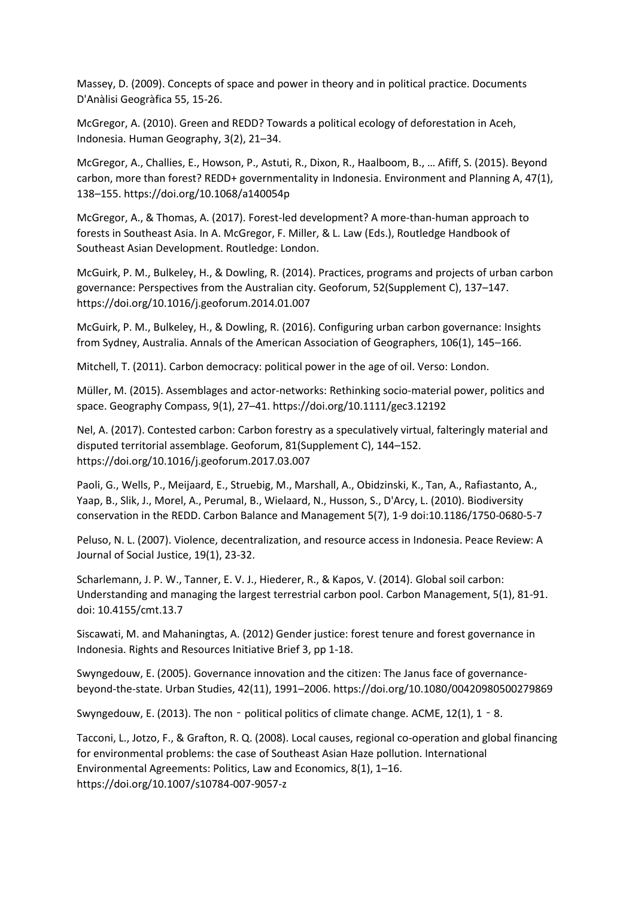Massey, D. (2009). Concepts of space and power in theory and in political practice. Documents D'Anàlisi Geogràfica 55, 15-26.

McGregor, A. (2010). Green and REDD? Towards a political ecology of deforestation in Aceh, Indonesia. Human Geography, 3(2), 21–34.

McGregor, A., Challies, E., Howson, P., Astuti, R., Dixon, R., Haalboom, B., … Afiff, S. (2015). Beyond carbon, more than forest? REDD+ governmentality in Indonesia. Environment and Planning A, 47(1), 138–155. https://doi.org/10.1068/a140054p

McGregor, A., & Thomas, A. (2017). Forest-led development? A more-than-human approach to forests in Southeast Asia. In A. McGregor, F. Miller, & L. Law (Eds.), Routledge Handbook of Southeast Asian Development. Routledge: London.

McGuirk, P. M., Bulkeley, H., & Dowling, R. (2014). Practices, programs and projects of urban carbon governance: Perspectives from the Australian city. Geoforum, 52(Supplement C), 137–147. https://doi.org/10.1016/j.geoforum.2014.01.007

McGuirk, P. M., Bulkeley, H., & Dowling, R. (2016). Configuring urban carbon governance: Insights from Sydney, Australia. Annals of the American Association of Geographers, 106(1), 145–166.

Mitchell, T. (2011). Carbon democracy: political power in the age of oil. Verso: London.

Müller, M. (2015). Assemblages and actor-networks: Rethinking socio-material power, politics and space. Geography Compass, 9(1), 27–41. https://doi.org/10.1111/gec3.12192

Nel, A. (2017). Contested carbon: Carbon forestry as a speculatively virtual, falteringly material and disputed territorial assemblage. Geoforum, 81(Supplement C), 144–152. https://doi.org/10.1016/j.geoforum.2017.03.007

Paoli, G., Wells, P., Meijaard, E., Struebig, M., Marshall, A., Obidzinski, K., Tan, A., Rafiastanto, A., Yaap, B., Slik, J., Morel, A., Perumal, B., Wielaard, N., Husson, S., D'Arcy, L. (2010). Biodiversity conservation in the REDD. Carbon Balance and Management 5(7), 1-9 doi:10.1186/1750-0680-5-7

Peluso, N. L. (2007). Violence, decentralization, and resource access in Indonesia. Peace Review: A Journal of Social Justice, 19(1), 23-32.

Scharlemann, J. P. W., Tanner, E. V. J., Hiederer, R., & Kapos, V. (2014). Global soil carbon: Understanding and managing the largest terrestrial carbon pool. Carbon Management, 5(1), 81-91. doi: 10.4155/cmt.13.7

Siscawati, M. and Mahaningtas, A. (2012) Gender justice: forest tenure and forest governance in Indonesia. Rights and Resources Initiative Brief 3, pp 1-18.

Swyngedouw, E. (2005). Governance innovation and the citizen: The Janus face of governancebeyond-the-state. Urban Studies, 42(11), 1991–2006. https://doi.org/10.1080/00420980500279869

Swyngedouw, E. (2013). The non - political politics of climate change. ACME,  $12(1)$ ,  $1 - 8$ .

Tacconi, L., Jotzo, F., & Grafton, R. Q. (2008). Local causes, regional co-operation and global financing for environmental problems: the case of Southeast Asian Haze pollution. International Environmental Agreements: Politics, Law and Economics, 8(1), 1–16. https://doi.org/10.1007/s10784-007-9057-z